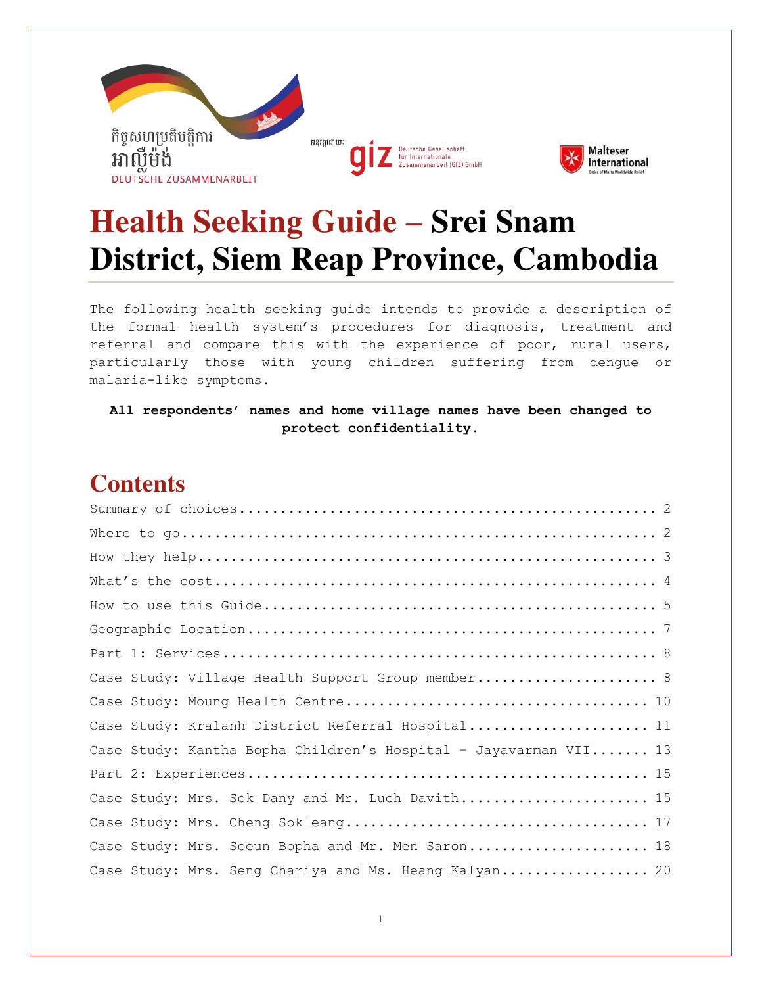

# **Health Seeking Guide – Srei Snam District, Siem Reap Province, Cambodia**

The following health seeking guide intends to provide a description of the formal health system's procedures for diagnosis, treatment and referral and compare this with the experience of poor, rural users, particularly those with young children suffering from dengue or malaria-like symptoms.

**All respondents' names and home village names have been changed to protect confidentiality.**

### **Contents**

| Case Study: Village Health Support Group member 8                |  |  |  |  |  |  |
|------------------------------------------------------------------|--|--|--|--|--|--|
|                                                                  |  |  |  |  |  |  |
| Case Study: Kralanh District Referral Hospital 11                |  |  |  |  |  |  |
| Case Study: Kantha Bopha Children's Hospital - Jayavarman VII 13 |  |  |  |  |  |  |
|                                                                  |  |  |  |  |  |  |
| Case Study: Mrs. Sok Dany and Mr. Luch Davith 15                 |  |  |  |  |  |  |
|                                                                  |  |  |  |  |  |  |
| Case Study: Mrs. Soeun Bopha and Mr. Men Saron 18                |  |  |  |  |  |  |
| Case Study: Mrs. Seng Chariya and Ms. Heang Kalyan 20            |  |  |  |  |  |  |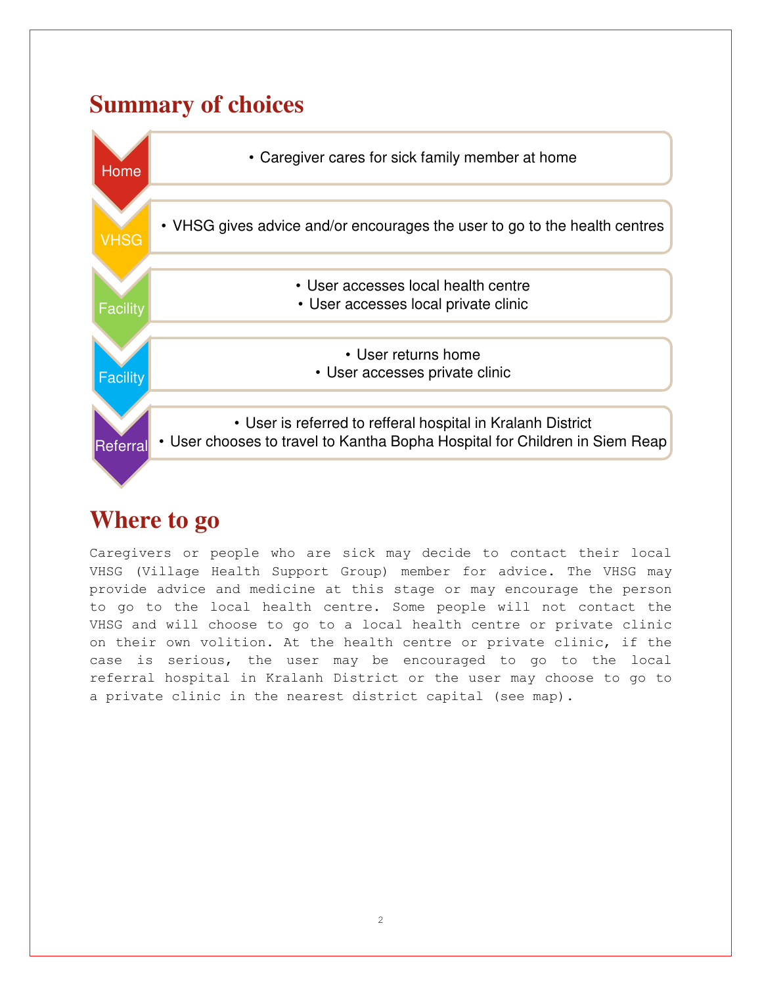### **Summary of choices**



### **Where to go**

Caregivers or people who are sick may decide to contact their local VHSG (Village Health Support Group) member for advice. The VHSG may provide advice and medicine at this stage or may encourage the person to go to the local health centre. Some people will not contact the VHSG and will choose to go to a local health centre or private clinic on their own volition. At the health centre or private clinic, if the case is serious, the user may be encouraged to go to the local referral hospital in Kralanh District or the user may choose to go to a private clinic in the nearest district capital (see map).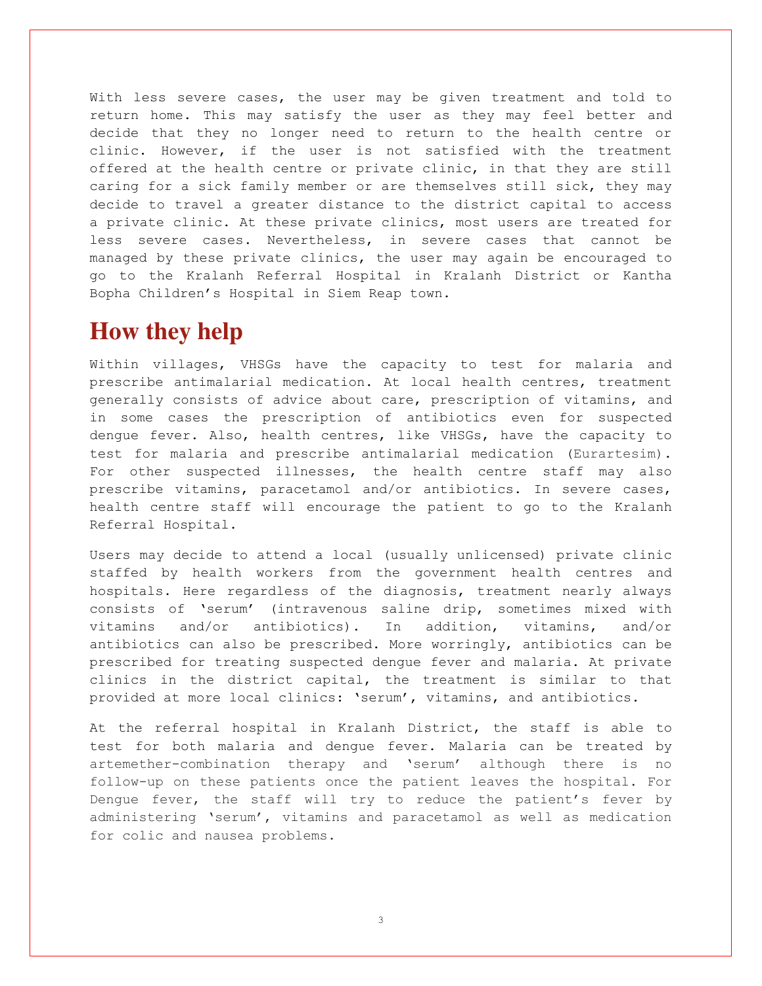With less severe cases, the user may be given treatment and told to return home. This may satisfy the user as they may feel better and decide that they no longer need to return to the health centre or clinic. However, if the user is not satisfied with the treatment offered at the health centre or private clinic, in that they are still caring for a sick family member or are themselves still sick, they may decide to travel a greater distance to the district capital to access a private clinic. At these private clinics, most users are treated for less severe cases. Nevertheless, in severe cases that cannot be managed by these private clinics, the user may again be encouraged to go to the Kralanh Referral Hospital in Kralanh District or Kantha Bopha Children's Hospital in Siem Reap town.

### **How they help**

Within villages, VHSGs have the capacity to test for malaria and prescribe antimalarial medication. At local health centres, treatment generally consists of advice about care, prescription of vitamins, and in some cases the prescription of antibiotics even for suspected dengue fever. Also, health centres, like VHSGs, have the capacity to test for malaria and prescribe antimalarial medication (Eurartesim). For other suspected illnesses, the health centre staff may also prescribe vitamins, paracetamol and/or antibiotics. In severe cases, health centre staff will encourage the patient to go to the Kralanh Referral Hospital.

Users may decide to attend a local (usually unlicensed) private clinic staffed by health workers from the government health centres and hospitals. Here regardless of the diagnosis, treatment nearly always consists of 'serum' (intravenous saline drip, sometimes mixed with vitamins and/or antibiotics). In addition, vitamins, and/or antibiotics can also be prescribed. More worringly, antibiotics can be prescribed for treating suspected dengue fever and malaria. At private clinics in the district capital, the treatment is similar to that provided at more local clinics: 'serum', vitamins, and antibiotics.

At the referral hospital in Kralanh District, the staff is able to test for both malaria and dengue fever. Malaria can be treated by [artemether-combination therapy](https://www.google.com.kh/search?q=artemether-combination+therapy&spell=1&sa=X&ved=0ahUKEwiIk6HfrajKAhUDG5QKHalHAxQQvwUIGCgA) and 'serum' although there is no follow-up on these patients once the patient leaves the hospital. For Dengue fever, the staff will try to reduce the patient's fever by administering 'serum', vitamins and paracetamol as well as medication for colic and nausea problems.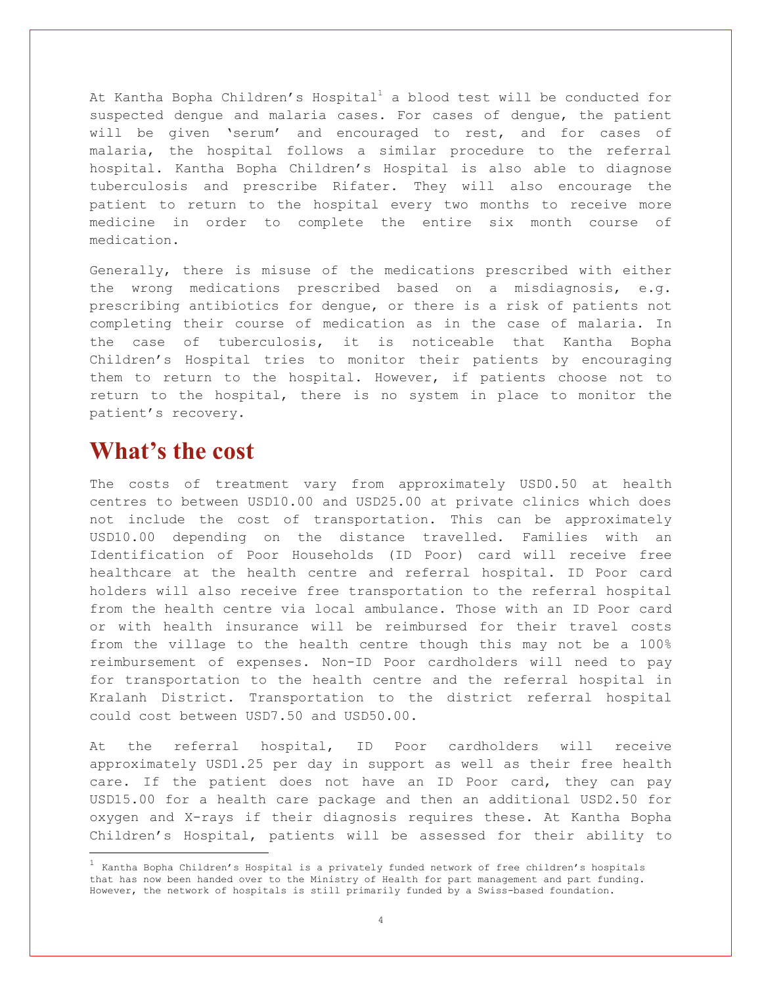At Kantha Bopha Children's Hospital<sup>1</sup> a blood test will be conducted for suspected dengue and malaria cases. For cases of dengue, the patient will be given 'serum' and encouraged to rest, and for cases of malaria, the hospital follows a similar procedure to the referral hospital. Kantha Bopha Children's Hospital is also able to diagnose tuberculosis and prescribe Rifater. They will also encourage the patient to return to the hospital every two months to receive more medicine in order to complete the entire six month course of medication.

Generally, there is misuse of the medications prescribed with either the wrong medications prescribed based on a misdiagnosis, e.g. prescribing antibiotics for dengue, or there is a risk of patients not completing their course of medication as in the case of malaria. In the case of tuberculosis, it is noticeable that Kantha Bopha Children's Hospital tries to monitor their patients by encouraging them to return to the hospital. However, if patients choose not to return to the hospital, there is no system in place to monitor the patient's recovery.

#### **What's the cost**

The costs of treatment vary from approximately USD0.50 at health centres to between USD10.00 and USD25.00 at private clinics which does not include the cost of transportation. This can be approximately USD10.00 depending on the distance travelled. Families with an Identification of Poor Households (ID Poor) card will receive free healthcare at the health centre and referral hospital. ID Poor card holders will also receive free transportation to the referral hospital from the health centre via local ambulance. Those with an ID Poor card or with health insurance will be reimbursed for their travel costs from the village to the health centre though this may not be a 100% reimbursement of expenses. Non-ID Poor cardholders will need to pay for transportation to the health centre and the referral hospital in Kralanh District. Transportation to the district referral hospital could cost between USD7.50 and USD50.00.

At the referral hospital, ID Poor cardholders will receive approximately USD1.25 per day in support as well as their free health care. If the patient does not have an ID Poor card, they can pay USD15.00 for a health care package and then an additional USD2.50 for oxygen and X-rays if their diagnosis requires these. At Kantha Bopha Children's Hospital, patients will be assessed for their ability to

 $^{\rm 1}$  Kantha Bopha Children's Hospital is a privately funded network of free children's hospitals that has now been handed over to the Ministry of Health for part management and part funding. However, the network of hospitals is still primarily funded by a Swiss-based foundation.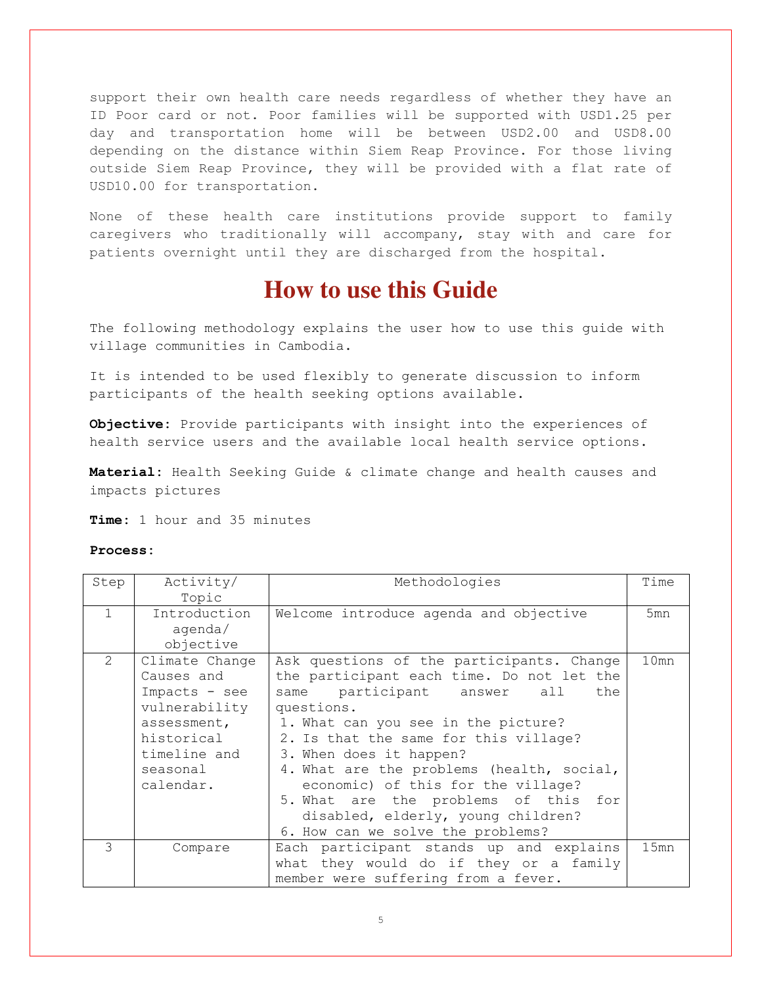support their own health care needs regardless of whether they have an ID Poor card or not. Poor families will be supported with USD1.25 per day and transportation home will be between USD2.00 and USD8.00 depending on the distance within Siem Reap Province. For those living outside Siem Reap Province, they will be provided with a flat rate of USD10.00 for transportation.

None of these health care institutions provide support to family caregivers who traditionally will accompany, stay with and care for patients overnight until they are discharged from the hospital.

#### **How to use this Guide**

The following methodology explains the user how to use this guide with village communities in Cambodia.

It is intended to be used flexibly to generate discussion to inform participants of the health seeking options available.

**Objective:** Provide participants with insight into the experiences of health service users and the available local health service options.

**Material:** Health Seeking Guide & climate change and health causes and impacts pictures

**Time:** 1 hour and 35 minutes

#### **Process:**

| Step          | Activity/                                                                                                                            | Methodologies                                                                                                                                                                                                                                                                                                                                                                                                                                                  | Time |
|---------------|--------------------------------------------------------------------------------------------------------------------------------------|----------------------------------------------------------------------------------------------------------------------------------------------------------------------------------------------------------------------------------------------------------------------------------------------------------------------------------------------------------------------------------------------------------------------------------------------------------------|------|
|               | Topic                                                                                                                                |                                                                                                                                                                                                                                                                                                                                                                                                                                                                |      |
| $\mathbf{1}$  | Introduction<br>agenda/<br>objective                                                                                                 | Welcome introduce agenda and objective                                                                                                                                                                                                                                                                                                                                                                                                                         | 5mn  |
| 2             | Climate Change<br>Causes and<br>Impacts - see<br>vulnerability<br>assessment,<br>historical<br>timeline and<br>seasonal<br>calendar. | Ask questions of the participants. Change<br>the participant each time. Do not let the<br>same participant answer<br>the<br>all<br>questions.<br>1. What can you see in the picture?<br>2. Is that the same for this village?<br>3. When does it happen?<br>4. What are the problems (health, social,<br>economic) of this for the village?<br>5. What are the problems of this for<br>disabled, elderly, young children?<br>6. How can we solve the problems? | 10mn |
| $\mathcal{S}$ | Compare                                                                                                                              | Each participant stands up and explains                                                                                                                                                                                                                                                                                                                                                                                                                        | 15mn |
|               |                                                                                                                                      | what they would do if they or a family<br>member were suffering from a fever.                                                                                                                                                                                                                                                                                                                                                                                  |      |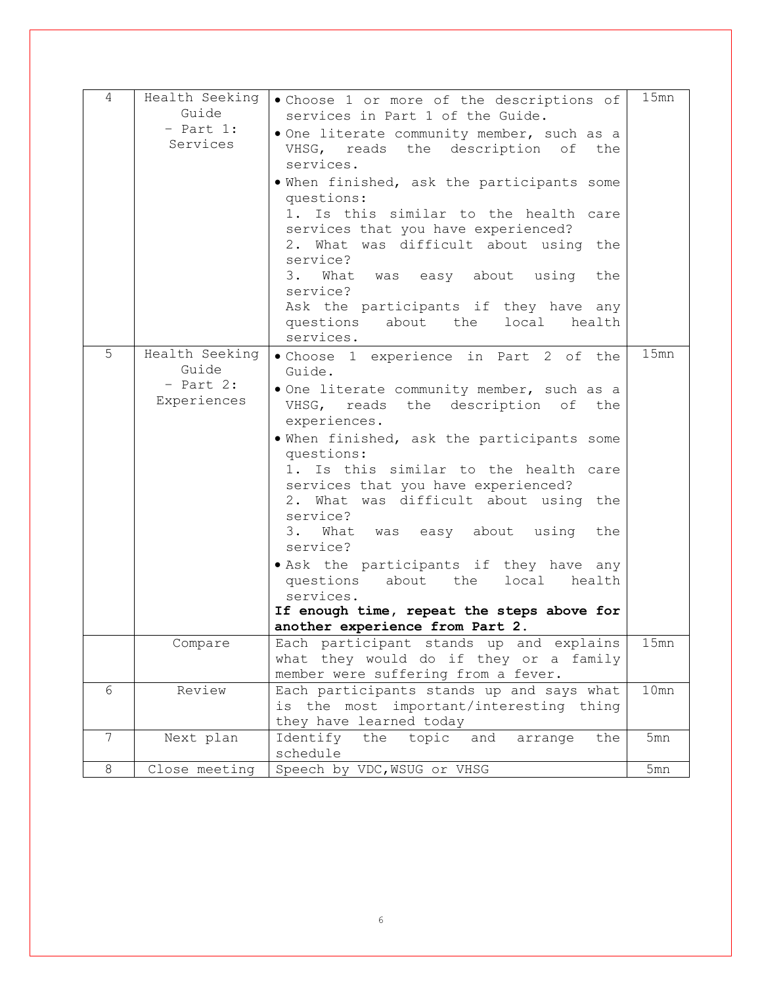| 4       | Health Seeking<br>Guide<br>$-$ Part 1:<br>Services    | . Choose 1 or more of the descriptions of<br>services in Part 1 of the Guide.<br>. One literate community member, such as a<br>VHSG, reads the description of the<br>services.<br>. When finished, ask the participants some<br>questions:<br>1. Is this similar to the health care<br>services that you have experienced?<br>2. What was difficult about using the<br>service?<br>3. What was easy about using<br>the<br>service?<br>Ask the participants if they have any<br>questions<br>about the<br>local<br>health<br>services.                                                          | 15mn |
|---------|-------------------------------------------------------|------------------------------------------------------------------------------------------------------------------------------------------------------------------------------------------------------------------------------------------------------------------------------------------------------------------------------------------------------------------------------------------------------------------------------------------------------------------------------------------------------------------------------------------------------------------------------------------------|------|
| 5       | Health Seeking<br>Guide<br>$-$ Part 2:<br>Experiences | . Choose 1 experience in Part 2 of the<br>Guide.<br>. One literate community member, such as a<br>VHSG, reads the description of the<br>experiences.<br>. When finished, ask the participants some<br>questions:<br>1. Is this similar to the health care<br>services that you have experienced?<br>2. What was difficult about using the<br>service?<br>What was easy about using the<br>3.<br>service?<br>. Ask the participants if they have any<br>questions<br>about the<br>local<br>health<br>services.<br>If enough time, repeat the steps above for<br>another experience from Part 2. | 15mn |
|         | Compare                                               | Each participant stands up and explains<br>what they would do if they or a family<br>member were suffering from a fever.                                                                                                                                                                                                                                                                                                                                                                                                                                                                       | 15mn |
| 6       | Review                                                |                                                                                                                                                                                                                                                                                                                                                                                                                                                                                                                                                                                                | 10mn |
|         |                                                       | Each participants stands up and says what<br>is the most important/interesting thing<br>they have learned today                                                                                                                                                                                                                                                                                                                                                                                                                                                                                |      |
| 7       | Next plan                                             | Identify<br>the<br>topic<br>and<br>arrange<br>the<br>schedule                                                                                                                                                                                                                                                                                                                                                                                                                                                                                                                                  | 5mn  |
| $\,8\,$ | Close meeting                                         | Speech by VDC, WSUG or VHSG                                                                                                                                                                                                                                                                                                                                                                                                                                                                                                                                                                    | 5mn  |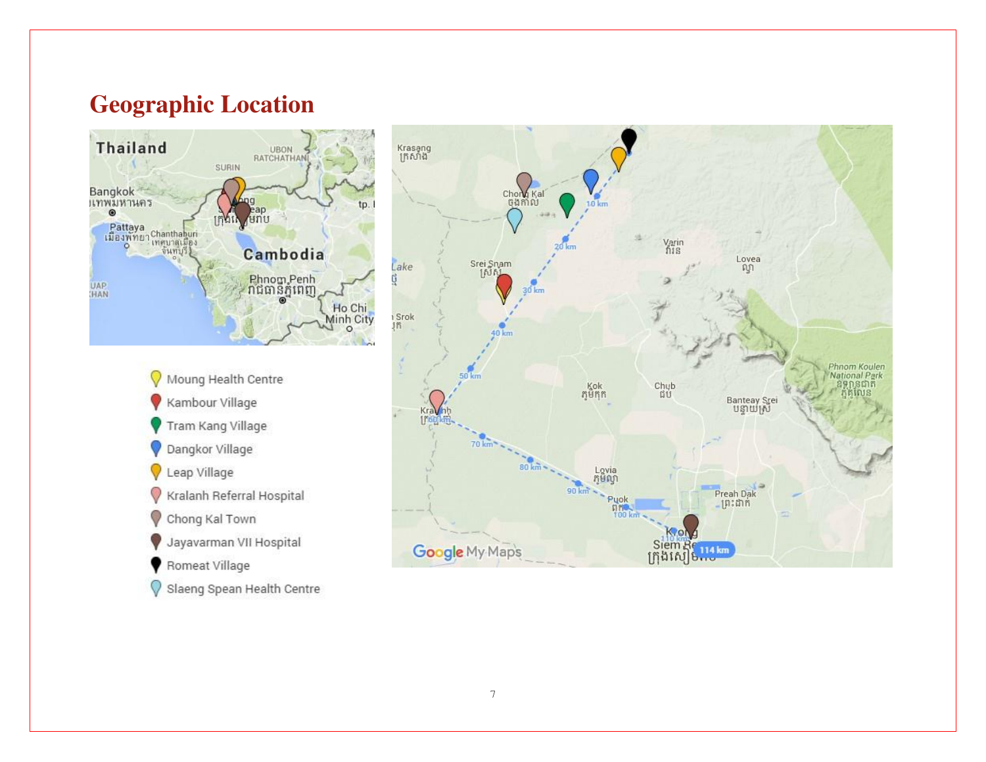## **Geographic Location**



- Moung Health Centre Kambour Village Tram Kang Village Dangkor Village Leap Village O Kralanh Referral Hospital Chong Kal Town Jayavarman VII Hospital Romeat Village
- Slaeng Spean Health Centre

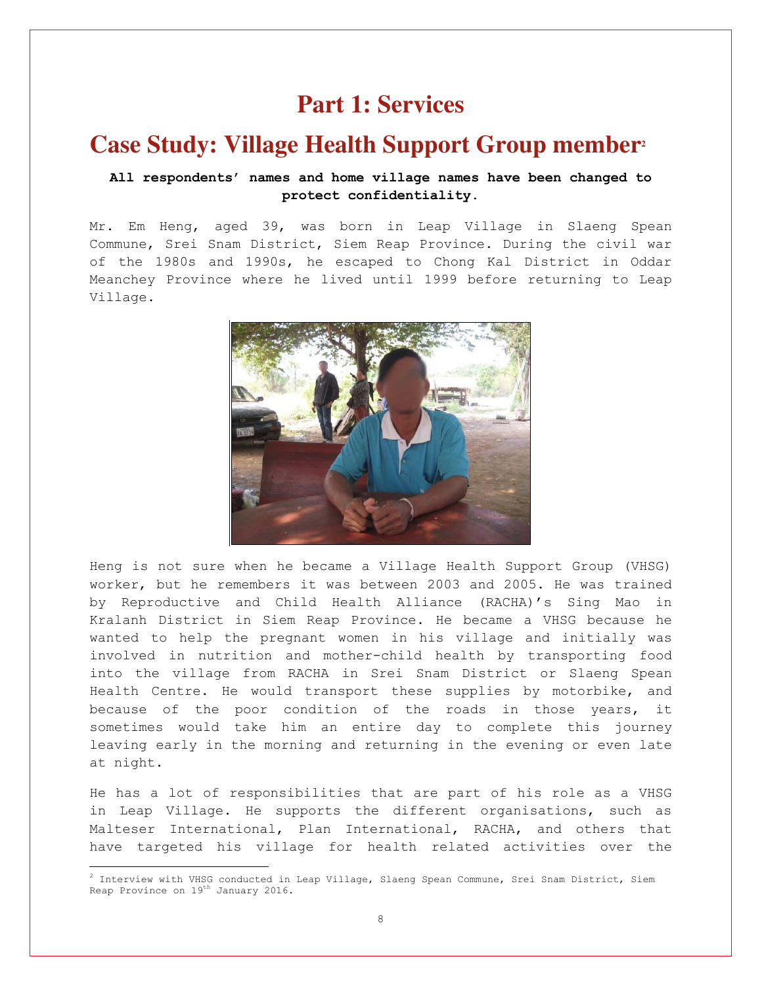#### **Part 1: Services**

#### **Case Study: Village Health Support Group member<sup>2</sup>**

#### **All respondents' names and home village names have been changed to protect confidentiality.**

Mr. Em Heng, aged 39, was born in Leap Village in Slaeng Spean Commune, Srei Snam District, Siem Reap Province. During the civil war of the 1980s and 1990s, he escaped to Chong Kal District in Oddar Meanchey Province where he lived until 1999 before returning to Leap Village.



Heng is not sure when he became a Village Health Support Group (VHSG) worker, but he remembers it was between 2003 and 2005. He was trained by [Reproductive and Child Health Alliance \(RACHA\)](http://www.racha.org.kh/)'s Sing Mao in Kralanh District in Siem Reap Province. He became a VHSG because he wanted to help the pregnant women in his village and initially was involved in nutrition and mother-child health by transporting food into the village from RACHA in Srei Snam District or Slaeng Spean Health Centre. He would transport these supplies by motorbike, and because of the poor condition of the roads in those years, it sometimes would take him an entire day to complete this journey leaving early in the morning and returning in the evening or even late at night.

He has a lot of responsibilities that are part of his role as a VHSG in Leap Village. He supports the different organisations, such as Malteser International, Plan International, RACHA, and others that have targeted his village for health related activities over the

÷

 $^2$  Interview with VHSG conducted in Leap Village, Slaeng Spean Commune, Srei Snam District, Siem Reap Province on 19<sup>th</sup> January 2016.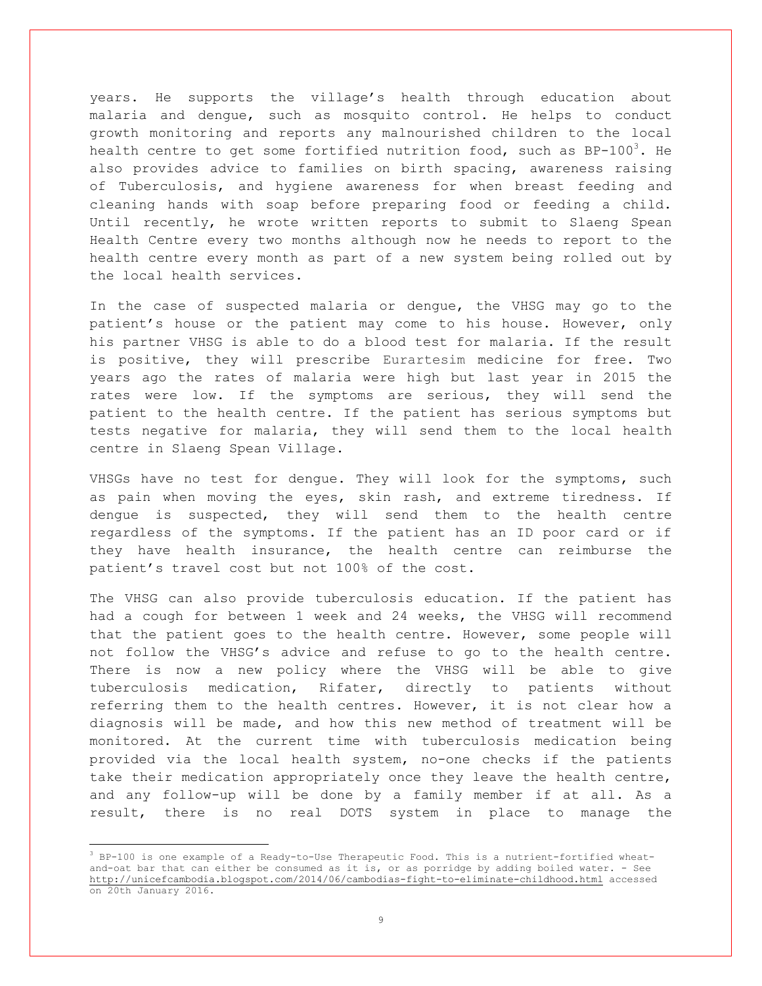years. He supports the village's health through education about malaria and dengue, such as mosquito control. He helps to conduct growth monitoring and reports any malnourished children to the local health centre to get some fortified nutrition food, such as  $BP-100^3$ . He also provides advice to families on birth spacing, awareness raising of Tuberculosis, and hygiene awareness for when breast feeding and cleaning hands with soap before preparing food or feeding a child. Until recently, he wrote written reports to submit to Slaeng Spean Health Centre every two months although now he needs to report to the health centre every month as part of a new system being rolled out by the local health services.

In the case of suspected malaria or dengue, the VHSG may go to the patient's house or the patient may come to his house. However, only his partner VHSG is able to do a blood test for malaria. If the result is positive, they will prescribe Eurartesim medicine for free. Two years ago the rates of malaria were high but last year in 2015 the rates were low. If the symptoms are serious, they will send the patient to the health centre. If the patient has serious symptoms but tests negative for malaria, they will send them to the local health centre in Slaeng Spean Village.

VHSGs have no test for dengue. They will look for the symptoms, such as pain when moving the eyes, skin rash, and extreme tiredness. If dengue is suspected, they will send them to the health centre regardless of the symptoms. If the patient has an ID poor card or if they have health insurance, the health centre can reimburse the patient's travel cost but not 100% of the cost.

The VHSG can also provide tuberculosis education. If the patient has had a cough for between 1 week and 24 weeks, the VHSG will recommend that the patient goes to the health centre. However, some people will not follow the VHSG's advice and refuse to go to the health centre. There is now a new policy where the VHSG will be able to give tuberculosis medication, Rifater, directly to patients without referring them to the health centres. However, it is not clear how a diagnosis will be made, and how this new method of treatment will be monitored. At the current time with tuberculosis medication being provided via the local health system, no-one checks if the patients take their medication appropriately once they leave the health centre, and any follow-up will be done by a family member if at all. As a result, there is no real DOTS system in place to manage the

 $3$  BP-100 is one example of a Ready-to-Use Therapeutic Food. This is a nutrient-fortified wheatand-oat bar that can either be consumed as it is, or as porridge by adding boiled water. - See <http://unicefcambodia.blogspot.com/2014/06/cambodias-fight-to-eliminate-childhood.html> accessed on 20th January 2016.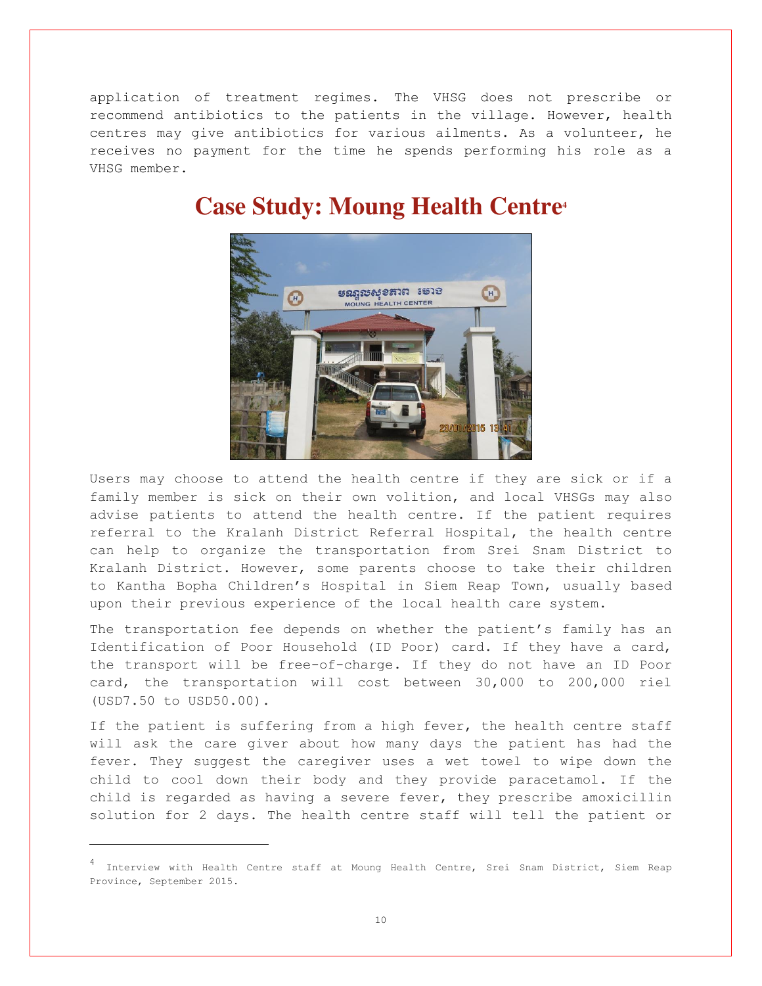application of treatment regimes. The VHSG does not prescribe or recommend antibiotics to the patients in the village. However, health centres may give antibiotics for various ailments. As a volunteer, he receives no payment for the time he spends performing his role as a VHSG member.



#### **Case Study: Moung Health Centre<sup>4</sup>**

Users may choose to attend the health centre if they are sick or if a family member is sick on their own volition, and local VHSGs may also advise patients to attend the health centre. If the patient requires referral to the Kralanh District Referral Hospital, the health centre can help to organize the transportation from Srei Snam District to Kralanh District. However, some parents choose to take their children to Kantha Bopha Children's Hospital in Siem Reap Town, usually based upon their previous experience of the local health care system.

The transportation fee depends on whether the patient's family has an Identification of Poor Household (ID Poor) card. If they have a card, the transport will be free-of-charge. If they do not have an ID Poor card, the transportation will cost between 30,000 to 200,000 riel (USD7.50 to USD50.00).

If the patient is suffering from a high fever, the health centre staff will ask the care giver about how many days the patient has had the fever. They suggest the caregiver uses a wet towel to wipe down the child to cool down their body and they provide paracetamol. If the child is regarded as having a severe fever, they prescribe [amoxicillin](https://www.google.com.kh/search?q=amoxicillin&spell=1&sa=X&ved=0ahUKEwjC0c78qqjKAhUHOJQKHQnUBc0QvwUIGCgA) solution for 2 days. The health centre staff will tell the patient or

<sup>4</sup> Interview with Health Centre staff at Moung Health Centre, Srei Snam District, Siem Reap Province, September 2015.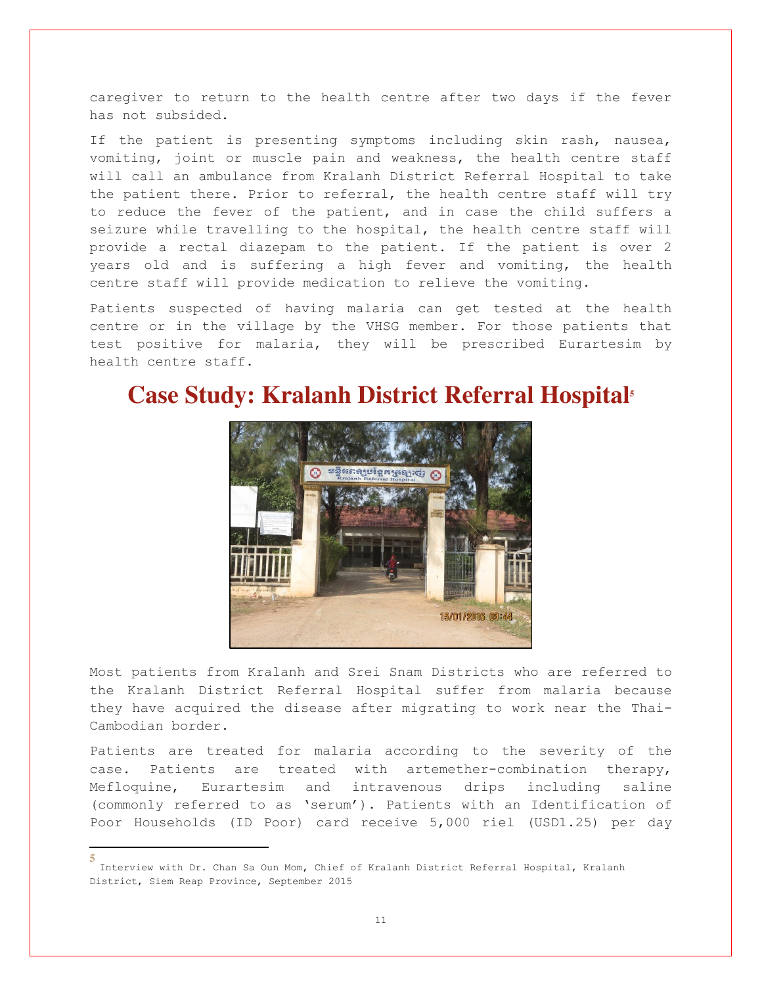caregiver to return to the health centre after two days if the fever has not subsided.

If the patient is presenting symptoms including skin rash, nausea, vomiting, joint or muscle pain and weakness, the health centre staff will call an ambulance from Kralanh District Referral Hospital to take the patient there. Prior to referral, the health centre staff will try to reduce the fever of the patient, and in case the child suffers a seizure while travelling to the hospital, the health centre staff will provide a rectal diazepam to the patient. If the patient is over 2 years old and is suffering a high fever and vomiting, the health centre staff will provide medication to relieve the vomiting.

Patients suspected of having malaria can get tested at the health centre or in the village by the VHSG member. For those patients that test positive for malaria, they will be prescribed Eurartesim by health centre staff.

#### **Case Study: Kralanh District Referral Hospital<sup>5</sup>**



Most patients from Kralanh and Srei Snam Districts who are referred to the Kralanh District Referral Hospital suffer from malaria because they have acquired the disease after migrating to work near the Thai-Cambodian border.

Patients are treated for malaria according to the severity of the case. Patients are treated with [artemether-combination therapy,](https://www.google.com.kh/search?q=artemether-combination+therapy&spell=1&sa=X&ved=0ahUKEwiIk6HfrajKAhUDG5QKHalHAxQQvwUIGCgA) Mefloquine, Eurartesim and intravenous drips including saline (commonly referred to as 'serum'). Patients with an Identification of Poor Households (ID Poor) card receive 5,000 riel (USD1.25) per day

÷

**<sup>5</sup>** Interview with Dr. Chan Sa Oun Mom, Chief of Kralanh District Referral Hospital, Kralanh District, Siem Reap Province, September 2015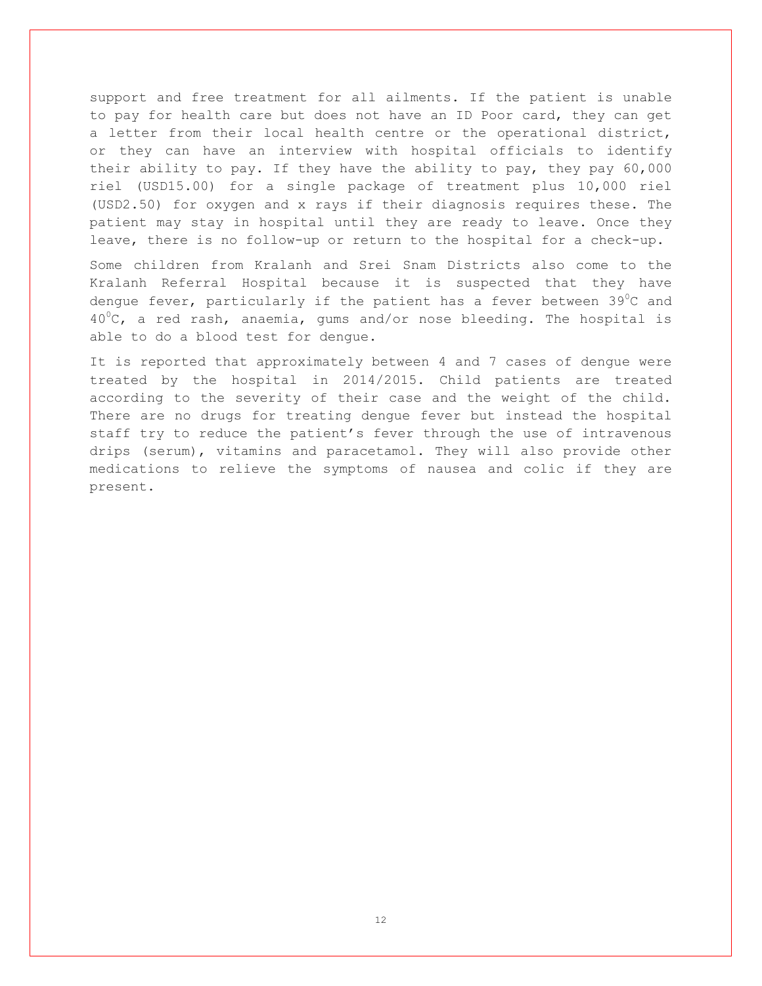support and free treatment for all ailments. If the patient is unable to pay for health care but does not have an ID Poor card, they can get a letter from their local health centre or the operational district, or they can have an interview with hospital officials to identify their ability to pay. If they have the ability to pay, they pay 60,000 riel (USD15.00) for a single package of treatment plus 10,000 riel (USD2.50) for oxygen and x rays if their diagnosis requires these. The patient may stay in hospital until they are ready to leave. Once they leave, there is no follow-up or return to the hospital for a check-up.

Some children from Kralanh and Srei Snam Districts also come to the Kralanh Referral Hospital because it is suspected that they have dengue fever, particularly if the patient has a fever between  $39^{\circ}$ C and  $40^{\circ}$ C, a red rash, anaemia, gums and/or nose bleeding. The hospital is able to do a blood test for dengue.

It is reported that approximately between 4 and 7 cases of dengue were treated by the hospital in 2014/2015. Child patients are treated according to the severity of their case and the weight of the child. There are no drugs for treating dengue fever but instead the hospital staff try to reduce the patient's fever through the use of intravenous drips (serum), vitamins and paracetamol. They will also provide other medications to relieve the symptoms of nausea and colic if they are present.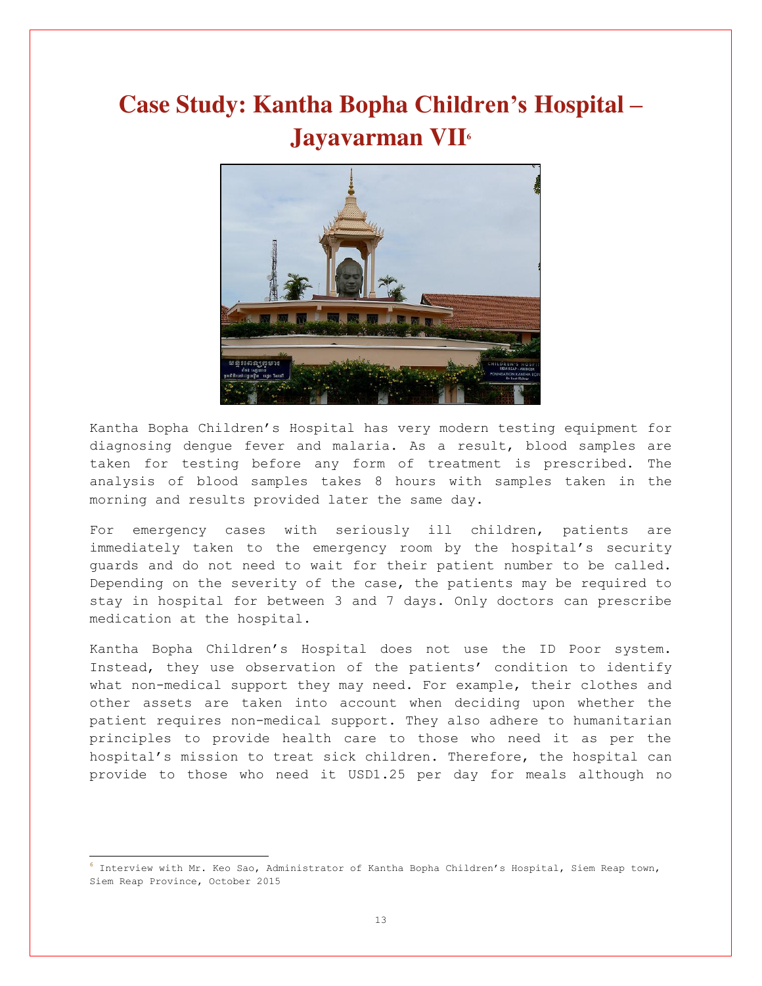# **Case Study: Kantha Bopha Children's Hospital – Jayavarman VII<sup>6</sup>**



Kantha Bopha Children's Hospital has very modern testing equipment for diagnosing dengue fever and malaria. As a result, blood samples are taken for testing before any form of treatment is prescribed. The analysis of blood samples takes 8 hours with samples taken in the morning and results provided later the same day.

For emergency cases with seriously ill children, patients are immediately taken to the emergency room by the hospital's security guards and do not need to wait for their patient number to be called. Depending on the severity of the case, the patients may be required to stay in hospital for between 3 and 7 days. Only doctors can prescribe medication at the hospital.

Kantha Bopha Children's Hospital does not use the ID Poor system. Instead, they use observation of the patients' condition to identify what non-medical support they may need. For example, their clothes and other assets are taken into account when deciding upon whether the patient requires non-medical support. They also adhere to humanitarian principles to provide health care to those who need it as per the hospital's mission to treat sick children. Therefore, the hospital can provide to those who need it USD1.25 per day for meals although no

**<sup>6</sup>** Interview with Mr. Keo Sao, Administrator of Kantha Bopha Children's Hospital, Siem Reap town, Siem Reap Province, October 2015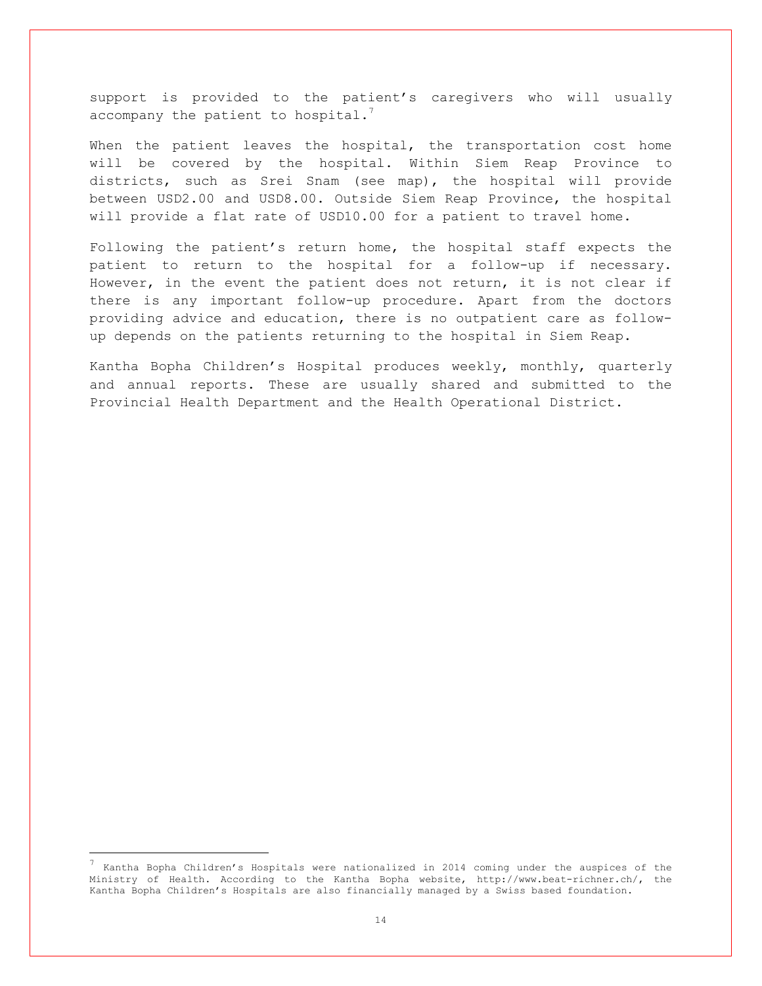support is provided to the patient's caregivers who will usually accompany the patient to hospital. $7$ 

When the patient leaves the hospital, the transportation cost home will be covered by the hospital. Within Siem Reap Province to districts, such as Srei Snam (see map), the hospital will provide between USD2.00 and USD8.00. Outside Siem Reap Province, the hospital will provide a flat rate of USD10.00 for a patient to travel home.

Following the patient's return home, the hospital staff expects the patient to return to the hospital for a follow-up if necessary. However, in the event the patient does not return, it is not clear if there is any important follow-up procedure. Apart from the doctors providing advice and education, there is no outpatient care as followup depends on the patients returning to the hospital in Siem Reap.

Kantha Bopha Children's Hospital produces weekly, monthly, quarterly and annual reports. These are usually shared and submitted to the Provincial Health Department and the Health Operational District.

<sup>7</sup> Kantha Bopha Children's Hospitals were nationalized in 2014 coming under the auspices of the Ministry of Health. According to the Kantha Bopha website, [http://www.beat-richner.ch/,](http://www.beat-richner.ch/) the Kantha Bopha Children's Hospitals are also financially managed by a Swiss based foundation.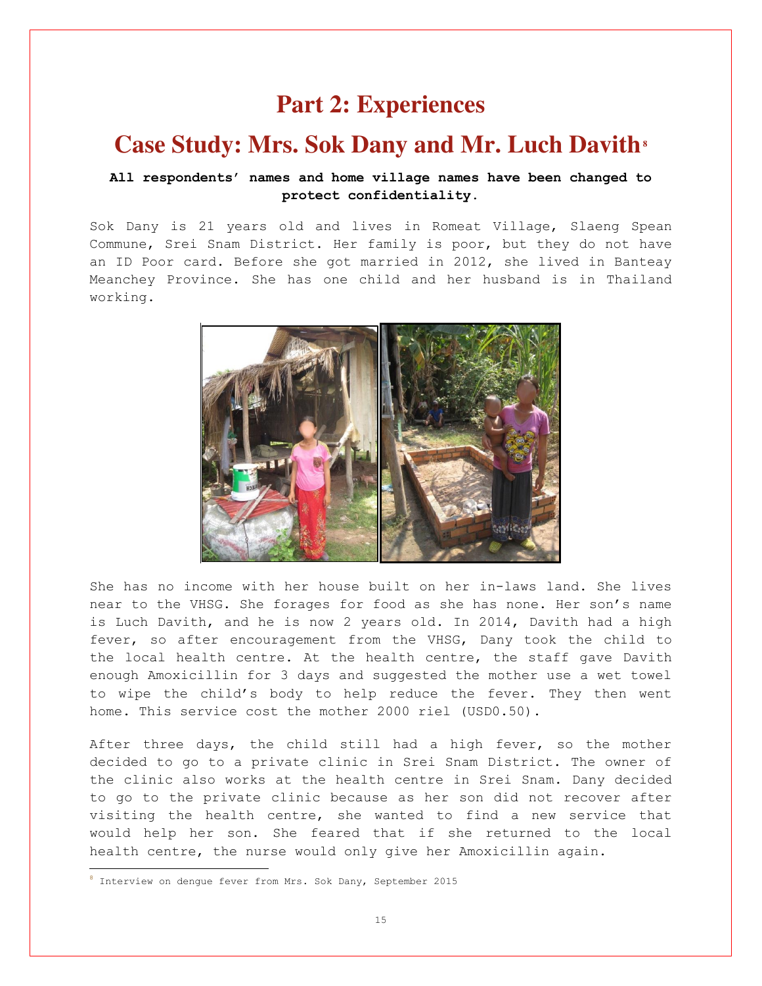### **Part 2: Experiences**

#### **Case Study: Mrs. Sok Dany and Mr. Luch Davith<sup>8</sup>**

#### **All respondents' names and home village names have been changed to protect confidentiality.**

Sok Dany is 21 years old and lives in Romeat Village, Slaeng Spean Commune, Srei Snam District. Her family is poor, but they do not have an ID Poor card. Before she got married in 2012, she lived in Banteay Meanchey Province. She has one child and her husband is in Thailand working.



She has no income with her house built on her in-laws land. She lives near to the VHSG. She forages for food as she has none. Her son's name is Luch Davith, and he is now 2 years old. In 2014, Davith had a high fever, so after encouragement from the VHSG, Dany took the child to the local health centre. At the health centre, the staff gave Davith enough Amoxicillin for 3 days and suggested the mother use a wet towel to wipe the child's body to help reduce the fever. They then went home. This service cost the mother 2000 riel (USD0.50).

After three days, the child still had a high fever, so the mother decided to go to a private clinic in Srei Snam District. The owner of the clinic also works at the health centre in Srei Snam. Dany decided to go to the private clinic because as her son did not recover after visiting the health centre, she wanted to find a new service that would help her son. She feared that if she returned to the local health centre, the nurse would only give her Amoxicillin again.

**<sup>8</sup>** Interview on dengue fever from Mrs. Sok Dany, September 2015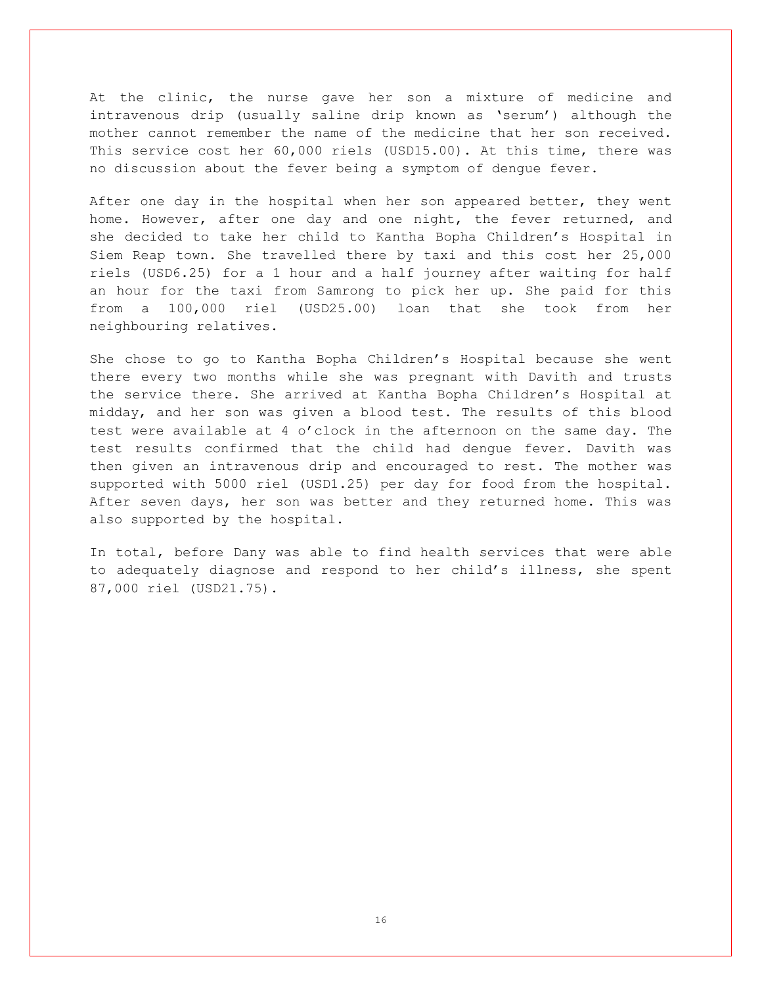At the clinic, the nurse gave her son a mixture of medicine and intravenous drip (usually saline drip known as 'serum') although the mother cannot remember the name of the medicine that her son received. This service cost her 60,000 riels (USD15.00). At this time, there was no discussion about the fever being a symptom of dengue fever.

After one day in the hospital when her son appeared better, they went home. However, after one day and one night, the fever returned, and she decided to take her child to Kantha Bopha Children's Hospital in Siem Reap town. She travelled there by taxi and this cost her 25,000 riels (USD6.25) for a 1 hour and a half journey after waiting for half an hour for the taxi from Samrong to pick her up. She paid for this from a 100,000 riel (USD25.00) loan that she took from her neighbouring relatives.

She chose to go to Kantha Bopha Children's Hospital because she went there every two months while she was pregnant with Davith and trusts the service there. She arrived at Kantha Bopha Children's Hospital at midday, and her son was given a blood test. The results of this blood test were available at 4 o'clock in the afternoon on the same day. The test results confirmed that the child had dengue fever. Davith was then given an intravenous drip and encouraged to rest. The mother was supported with 5000 riel (USD1.25) per day for food from the hospital. After seven days, her son was better and they returned home. This was also supported by the hospital.

In total, before Dany was able to find health services that were able to adequately diagnose and respond to her child's illness, she spent 87,000 riel (USD21.75).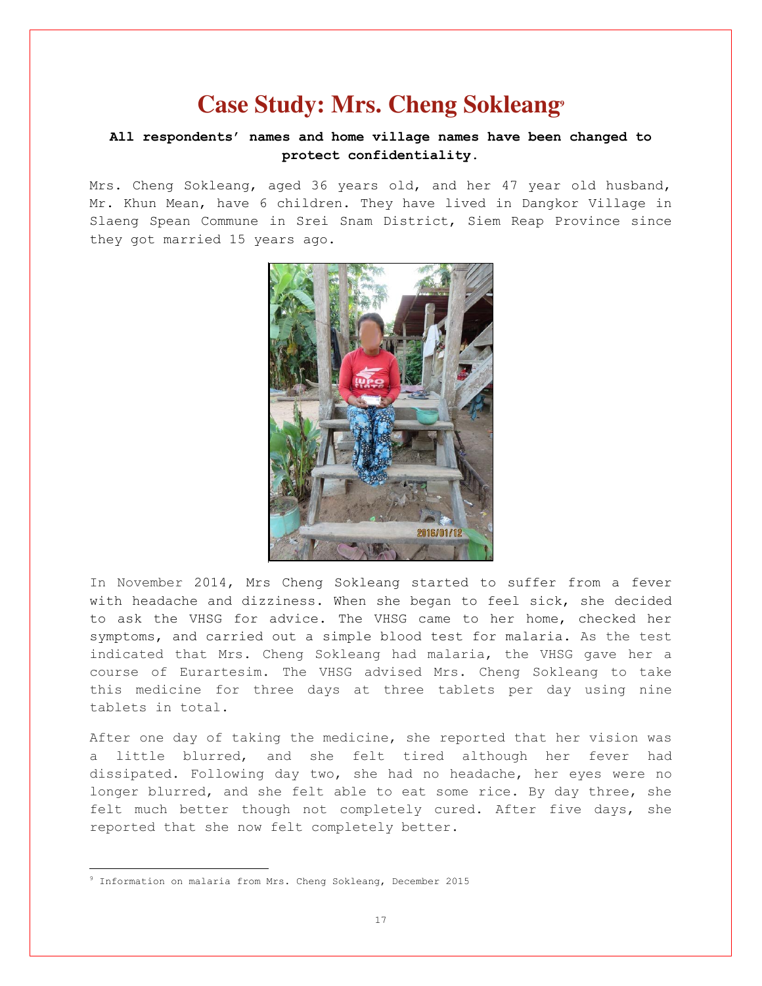### **Case Study: Mrs. Cheng Sokleang<sup>9</sup>**

#### **All respondents' names and home village names have been changed to protect confidentiality.**

Mrs. Cheng Sokleang, aged 36 years old, and her 47 year old husband, Mr. Khun Mean, have 6 children. They have lived in Dangkor Village in Slaeng Spean Commune in Srei Snam District, Siem Reap Province since they got married 15 years ago.



In November 2014, Mrs Cheng Sokleang started to suffer from a fever with headache and dizziness. When she began to feel sick, she decided to ask the VHSG for advice. The VHSG came to her home, checked her symptoms, and carried out a simple blood test for malaria. As the test indicated that Mrs. Cheng Sokleang had malaria, the VHSG gave her a course of Eurartesim. The VHSG advised Mrs. Cheng Sokleang to take this medicine for three days at three tablets per day using nine tablets in total.

After one day of taking the medicine, she reported that her vision was a little blurred, and she felt tired although her fever had dissipated. Following day two, she had no headache, her eyes were no longer blurred, and she felt able to eat some rice. By day three, she felt much better though not completely cured. After five days, she reported that she now felt completely better.

<sup>9</sup> Information on malaria from Mrs. Cheng Sokleang, December 2015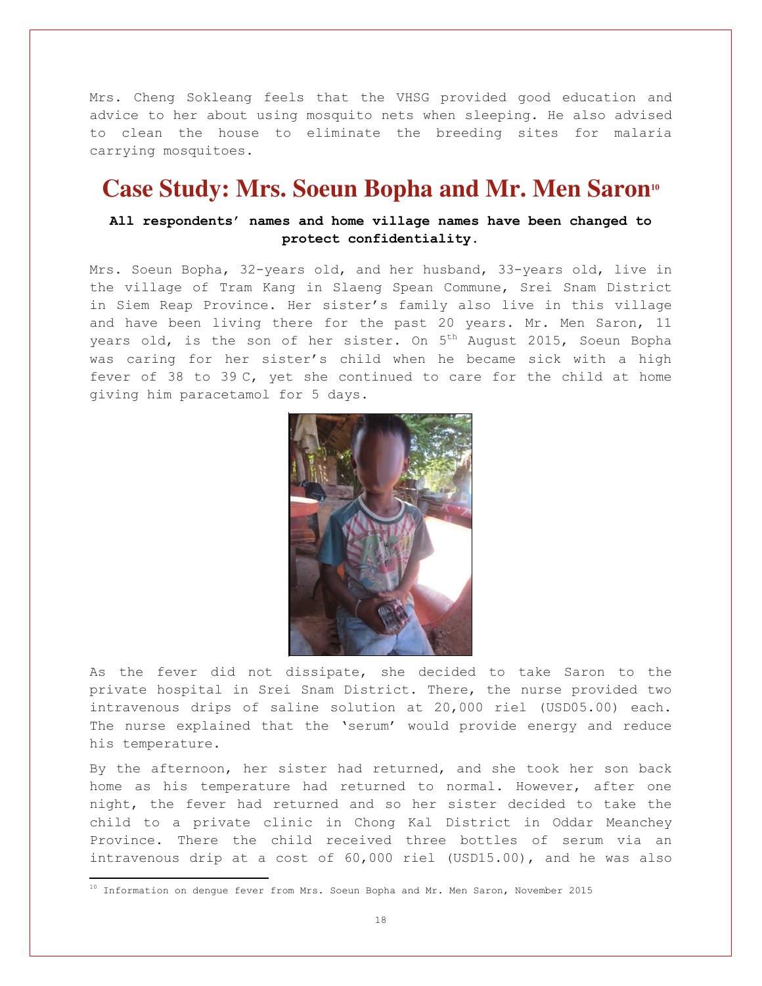Mrs. Cheng Sokleang feels that the VHSG provided good education and advice to her about using mosquito nets when sleeping. He also advised to clean the house to eliminate the breeding sites for malaria carrying mosquitoes.

### **Case Study: Mrs. Soeun Bopha and Mr. Men Saron<sup>10</sup>**

#### **All respondents' names and home village names have been changed to protect confidentiality.**

Mrs. Soeun Bopha, 32-years old, and her husband, 33-years old, live in the village of Tram Kang in Slaeng Spean Commune, Srei Snam District in Siem Reap Province. Her sister's family also live in this village and have been living there for the past 20 years. Mr. Men Saron, 11 years old, is the son of her sister. On 5<sup>th</sup> August 2015, Soeun Bopha was caring for her sister's child when he became sick with a high fever of 38 to 39 C, yet she continued to care for the child at home giving him paracetamol for 5 days.



As the fever did not dissipate, she decided to take Saron to the private hospital in Srei Snam District. There, the nurse provided two intravenous drips of saline solution at 20,000 riel (USD05.00) each. The nurse explained that the 'serum' would provide energy and reduce his temperature.

By the afternoon, her sister had returned, and she took her son back home as his temperature had returned to normal. However, after one night, the fever had returned and so her sister decided to take the child to a private clinic in Chong Kal District in Oddar Meanchey Province. There the child received three bottles of serum via an intravenous drip at a cost of 60,000 riel (USD15.00), and he was also

÷

 $^{10}$  Information on dengue fever from Mrs. Soeun Bopha and Mr. Men Saron, November 2015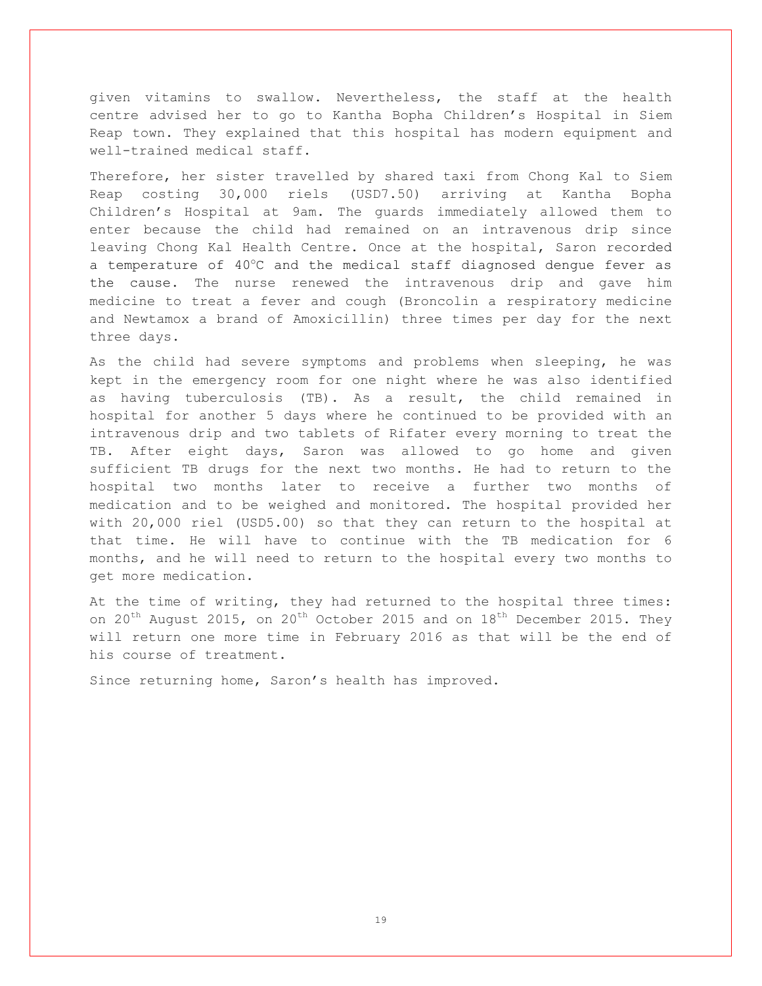given vitamins to swallow. Nevertheless, the staff at the health centre advised her to go to Kantha Bopha Children's Hospital in Siem Reap town. They explained that this hospital has modern equipment and well-trained medical staff.

Therefore, her sister travelled by shared taxi from Chong Kal to Siem Reap costing 30,000 riels (USD7.50) arriving at Kantha Bopha Children's Hospital at 9am. The guards immediately allowed them to enter because the child had remained on an intravenous drip since leaving Chong Kal Health Centre. Once at the hospital, Saron recorded a temperature of  $40^{\circ}$ C and the medical staff diagnosed dengue fever as the cause. The nurse renewed the intravenous drip and gave him medicine to treat a fever and cough (Broncolin a respiratory medicine and Newtamox a brand of Amoxicillin) three times per day for the next three days.

As the child had severe symptoms and problems when sleeping, he was kept in the emergency room for one night where he was also identified as having tuberculosis (TB). As a result, the child remained in hospital for another 5 days where he continued to be provided with an intravenous drip and two tablets of Rifater every morning to treat the TB. After eight days, Saron was allowed to go home and given sufficient TB drugs for the next two months. He had to return to the hospital two months later to receive a further two months of medication and to be weighed and monitored. The hospital provided her with 20,000 riel (USD5.00) so that they can return to the hospital at that time. He will have to continue with the TB medication for 6 months, and he will need to return to the hospital every two months to get more medication.

At the time of writing, they had returned to the hospital three times: on  $20^{th}$  August 2015, on  $20^{th}$  October 2015 and on  $18^{th}$  December 2015. They will return one more time in February 2016 as that will be the end of his course of treatment.

Since returning home, Saron's health has improved.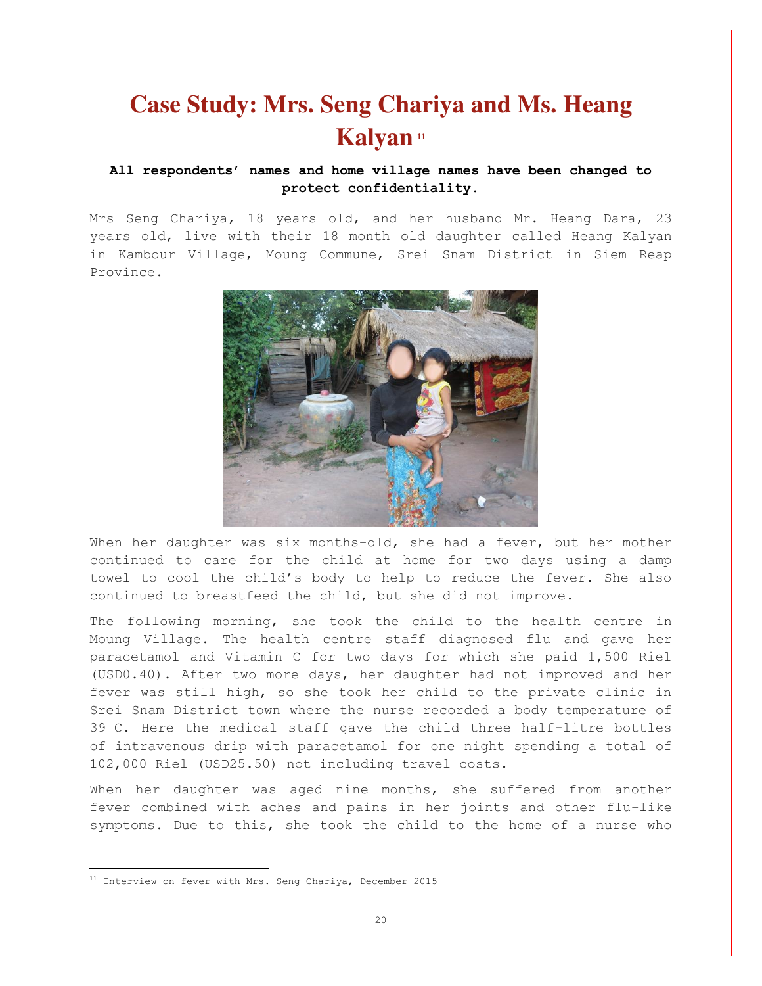# **Case Study: Mrs. Seng Chariya and Ms. Heang Kalyan <sup>11</sup>**

#### **All respondents' names and home village names have been changed to protect confidentiality.**

Mrs Seng Chariya, 18 years old, and her husband Mr. Heang Dara, 23 years old, live with their 18 month old daughter called Heang Kalyan in Kambour Village, Moung Commune, Srei Snam District in Siem Reap Province.



When her daughter was six months-old, she had a fever, but her mother continued to care for the child at home for two days using a damp towel to cool the child's body to help to reduce the fever. She also continued to breastfeed the child, but she did not improve.

The following morning, she took the child to the health centre in Moung Village. The health centre staff diagnosed flu and gave her paracetamol and Vitamin C for two days for which she paid 1,500 Riel (USD0.40). After two more days, her daughter had not improved and her fever was still high, so she took her child to the private clinic in Srei Snam District town where the nurse recorded a body temperature of 39 C. Here the medical staff gave the child three half-litre bottles of intravenous drip with paracetamol for one night spending a total of 102,000 Riel (USD25.50) not including travel costs.

When her daughter was aged nine months, she suffered from another fever combined with aches and pains in her joints and other flu-like symptoms. Due to this, she took the child to the home of a nurse who

<sup>&</sup>lt;sup>11</sup> Interview on fever with Mrs. Seng Chariya, December 2015